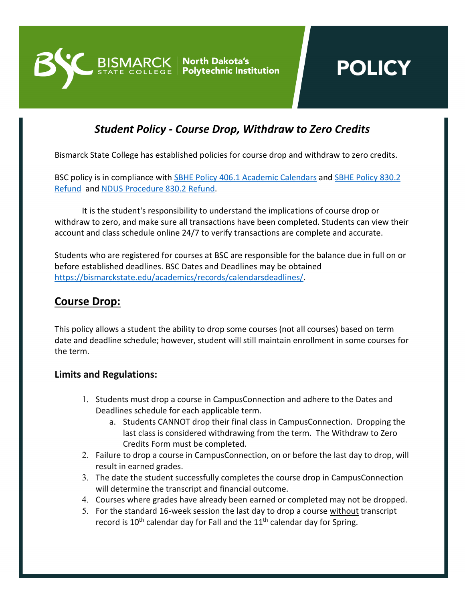

## **POLICY**

## *Student Policy - Course Drop, Withdraw to Zero Credits*

Bismarck State College has established policies for course drop and withdraw to zero credits.

BSC policy is in compliance with [SBHE Policy 406.1 Academic Calendars](https://ndusbpos.sharepoint.com/:w:/s/NDUSPoliciesandProcedures/EQov6TJWoctOnfwNagJ2oKoBvHHdKKf06n_gwuidVc2g6w) and [SBHE Policy](https://ndus.edu/state-board-of-higher-education/sbhe-policies/800-heading-policies/) [830.2](https://ndus.edu/state-board-of-higher-education/sbhe-policies/800-heading-policies/)  [Refund](https://ndus.edu/state-board-of-higher-education/sbhe-policies/800-heading-policies/) and [NDUS Procedure 830.2 Refund.](https://ndus.edu/state-board-of-higher-education/ndus-procedures/800-heading-procedures/)

It is the student's responsibility to understand the implications of course drop or withdraw to zero, and make sure all transactions have been completed. Students can view their account and class schedule online 24/7 to verify transactions are complete and accurate.

Students who are registered for courses at BSC are responsible for the balance due in full on or before established deadlines. BSC Dates and Deadlines may be obtained [https://bismarckstate.edu/academics/records/calendarsdeadlines/.](https://bismarckstate.edu/academics/records/calendarsdeadlines/)

### **Course Drop:**

This policy allows a student the ability to drop some courses (not all courses) based on term date and deadline schedule; however, student will still maintain enrollment in some courses for the term.

### **Limits and Regulations:**

- 1. Students must drop a course in CampusConnection and adhere to the Dates and Deadlines schedule for each applicable term.
	- a. Students CANNOT drop their final class in CampusConnection. Dropping the last class is considered withdrawing from the term. The Withdraw to Zero Credits Form must be completed.
- 2. Failure to drop a course in CampusConnection, on or before the last day to drop, will result in earned grades.
- 3. The date the student successfully completes the course drop in CampusConnection will determine the transcript and financial outcome.
- 4. Courses where grades have already been earned or completed may not be dropped.
- 5. For the standard 16-week session the last day to drop a course without transcript record is  $10^{th}$  calendar day for Fall and the  $11^{th}$  calendar day for Spring.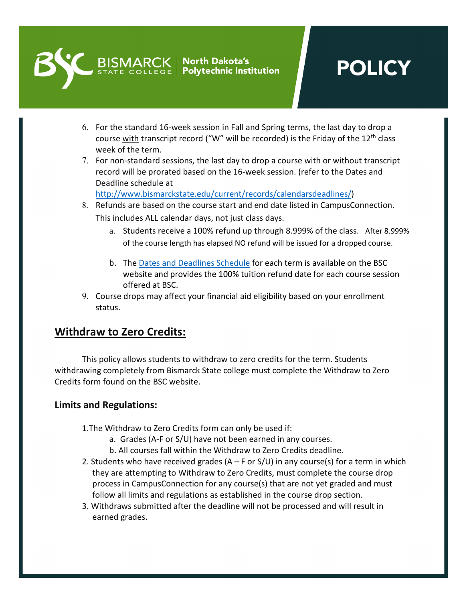#### **North Dakota's Polytechnic Institution**

# **POLICY**

- 6. For the standard 16-week session in Fall and Spring terms, the last day to drop a course with transcript record ("W" will be recorded) is the Friday of the  $12<sup>th</sup>$  class week of the term.
- 7. For non-standard sessions, the last day to drop a course with or without transcript record will be prorated based on the 16-week session. (refer to the Dates and Deadline schedule at

[http://www.bismarckstate.edu/current/records/calendarsdeadlines/\)](http://www.bismarckstate.edu/current/records/calendarsdeadlines/)

- 8. Refunds are based on the course start and end date listed in CampusConnection. This includes ALL calendar days, not just class days.
	- a. Students receive a 100% refund up through 8.999% of the class. After 8.999% of the course length has elapsed NO refund will be issued for a dropped course.
	- b. The [Dates and Deadlines Schedule](https://bismarckstate.edu/academics/records/calendarsdeadlines/) for each term is available on the BSC website and provides the 100% tuition refund date for each course session offered at BSC.
- 9. Course drops may affect your financial aid eligibility based on your enrollment status.

## **Withdraw to Zero Credits:**

This policy allows students to withdraw to zero credits for the term. Students withdrawing completely from Bismarck State college must complete the Withdraw to Zero Credits form found on the BSC website.

### **Limits and Regulations:**

1.The Withdraw to Zero Credits form can only be used if:

- a. Grades (A-F or S/U) have not been earned in any courses.
- b. All courses fall within the Withdraw to Zero Credits deadline.
- 2. Students who have received grades  $(A F$  or  $S/U$  in any course(s) for a term in which they are attempting to Withdraw to Zero Credits, must complete the course drop process in CampusConnection for any course(s) that are not yet graded and must follow all limits and regulations as established in the course drop section.
- 3. Withdraws submitted after the deadline will not be processed and will result in earned grades.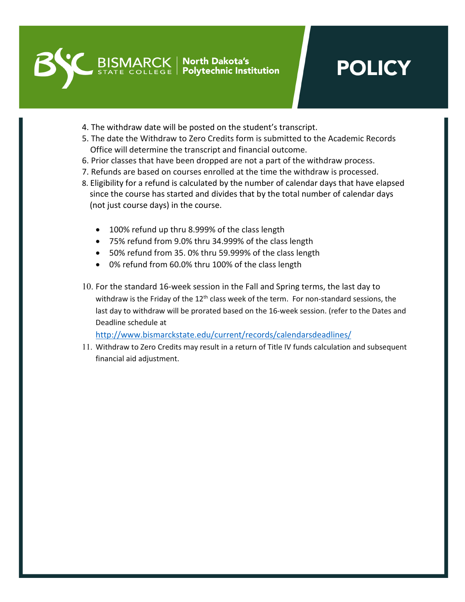#### **North Dakota's**  $\vert$  Polytechnic Institution

## **POLICY**

- 4. The withdraw date will be posted on the student's transcript.
- 5. The date the Withdraw to Zero Credits form is submitted to the Academic Records Office will determine the transcript and financial outcome.
- 6. Prior classes that have been dropped are not a part of the withdraw process.
- 7. Refunds are based on courses enrolled at the time the withdraw is processed.
- 8. Eligibility for a refund is calculated by the number of calendar days that have elapsed since the course has started and divides that by the total number of calendar days (not just course days) in the course.
	- 100% refund up thru 8.999% of the class length
	- 75% refund from 9.0% thru 34.999% of the class length
	- 50% refund from 35. 0% thru 59.999% of the class length
	- 0% refund from 60.0% thru 100% of the class length
- 10. For the standard 16-week session in the Fall and Spring terms, the last day to withdraw is the Friday of the  $12<sup>th</sup>$  class week of the term. For non-standard sessions, the last day to withdraw will be prorated based on the 16-week session. (refer to the Dates and Deadline schedule at

<http://www.bismarckstate.edu/current/records/calendarsdeadlines/>

11. Withdraw to Zero Credits may result in a return of Title IV funds calculation and subsequent financial aid adjustment.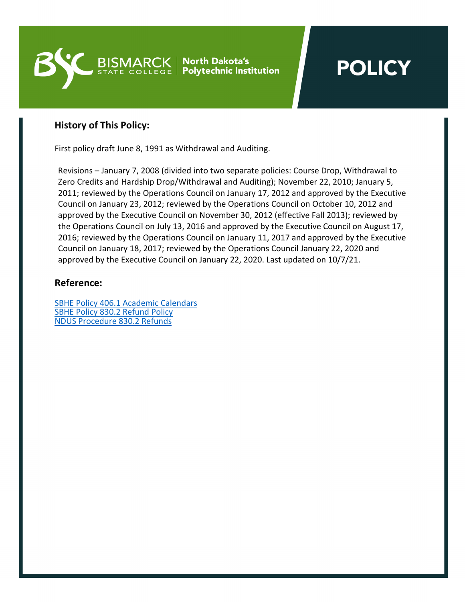

# **POLICY**

#### **History of This Policy:**

First policy draft June 8, 1991 as Withdrawal and Auditing.

Revisions – January 7, 2008 (divided into two separate policies: Course Drop, Withdrawal to Zero Credits and Hardship Drop/Withdrawal and Auditing); November 22, 2010; January 5, 2011; reviewed by the Operations Council on January 17, 2012 and approved by the Executive Council on January 23, 2012; reviewed by the Operations Council on October 10, 2012 and approved by the Executive Council on November 30, 2012 (effective Fall 2013); reviewed by the Operations Council on July 13, 2016 and approved by the Executive Council on August 17, 2016; reviewed by the Operations Council on January 11, 2017 and approved by the Executive Council on January 18, 2017; reviewed by the Operations Council January 22, 2020 and approved by the Executive Council on January 22, 2020. Last updated on 10/7/21.

#### **Reference:**

[SBHE Policy 406.1 Academic Calendars](https://ndusbpos.sharepoint.com/:w:/s/NDUSPoliciesandProcedures/EQov6TJWoctOnfwNagJ2oKoBvHHdKKf06n_gwuidVc2g6w?wdLOR=c4EC3C469-A405-4730-B4AF-0B100B7CBE5A) SBHE Policy 830.2 Refund Policy NDUS Procedure 830.2 Refunds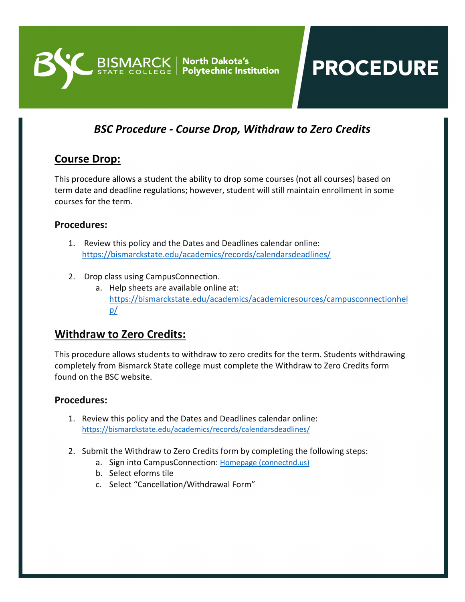

## **PROCEDURE**

## *BSC Procedure - Course Drop, Withdraw to Zero Credits*

### **Course Drop:**

This procedure allows a student the ability to drop some courses (not all courses) based on term date and deadline regulations; however, student will still maintain enrollment in some courses for the term.

### **Procedures:**

- 1. Review this policy and the Dates and Deadlines calendar online: <https://bismarckstate.edu/academics/records/calendarsdeadlines/>
- 2. Drop class using CampusConnection.
	- a. Help sheets are available online at: [https://bismarckstate.edu/academics/academicresources/campusconnectionhel](https://bismarckstate.edu/academics/academicresources/campusconnectionhelp/) [p/](https://bismarckstate.edu/academics/academicresources/campusconnectionhelp/)

### **Withdraw to Zero Credits:**

This procedure allows students to withdraw to zero credits for the term. Students withdrawing completely from Bismarck State college must complete the Withdraw to Zero Credits form found on the BSC website.

### **Procedures:**

- 1. Review this policy and the Dates and Deadlines calendar online: <https://bismarckstate.edu/academics/records/calendarsdeadlines/>
- 2. Submit the Withdraw to Zero Credits form by completing the following steps:
	- a. Sign into CampusConnection: [Homepage \(connectnd.us\)](https://studentadmin.connectnd.us/psc/NDCSPRD/EMPLOYEE/SA/c/NUI_FRAMEWORK.PT_LANDINGPAGE.GBL?GHSAML=1)
	- b. Select eforms tile
	- c. Select "Cancellation/Withdrawal Form"